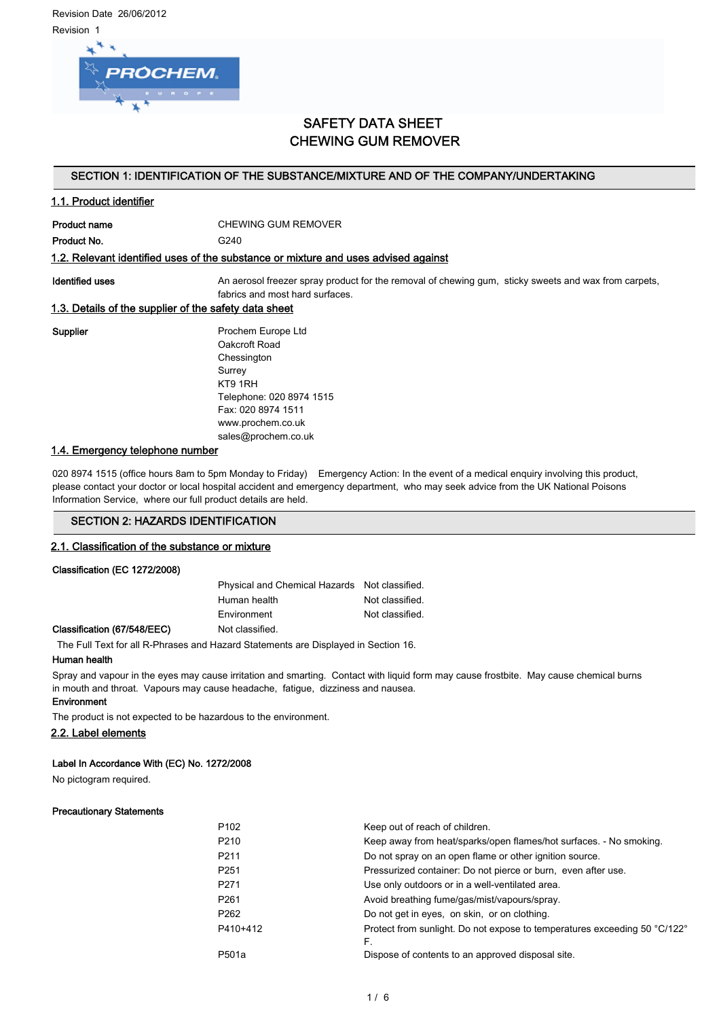Revision Date 26/06/2012 Revision 1



## SAFETY DATA SHEET CHEWING GUM REMOVER

### SECTION 1: IDENTIFICATION OF THE SUBSTANCE/MIXTURE AND OF THE COMPANY/UNDERTAKING

### 1.1. Product identifier

Product name CHEWING GUM REMOVER

Product No. 6240

#### 1.2. Relevant identified uses of the substance or mixture and uses advised against

Identified uses **An aerosol freezer spray product for the removal of chewing gum, sticky sweets and wax from carpets,** fabrics and most hard surfaces.

### 1.3. Details of the supplier of the safety data sheet

Supplier **Prochem Europe Ltd** Oakcroft Road Chessington Surrey KT9 1RH Telephone: 020 8974 1515 Fax: 020 8974 1511 www.prochem.co.uk sales@prochem.co.uk

### 1.4. Emergency telephone number

020 8974 1515 (office hours 8am to 5pm Monday to Friday) Emergency Action: In the event of a medical enquiry involving this product, please contact your doctor or local hospital accident and emergency department, who may seek advice from the UK National Poisons Information Service, where our full product details are held.

### SECTION 2: HAZARDS IDENTIFICATION

#### 2.1. Classification of the substance or mixture

#### Classification (EC 1272/2008)

| Physical and Chemical Hazards Not classified. |                 |
|-----------------------------------------------|-----------------|
| Human health                                  | Not classified. |
| Environment                                   | Not classified. |
| Not clossified                                |                 |

Classification (67/548/EEC) Not classified.

The Full Text for all R-Phrases and Hazard Statements are Displayed in Section 16.

#### Human health

Spray and vapour in the eyes may cause irritation and smarting. Contact with liquid form may cause frostbite. May cause chemical burns in mouth and throat. Vapours may cause headache, fatigue, dizziness and nausea.

### **Environment**

The product is not expected to be hazardous to the environment.

#### 2.2. Label elements

#### Label In Accordance With (EC) No. 1272/2008

No pictogram required.

#### Precautionary Statements

| P <sub>102</sub>   | Keep out of reach of children.                                            |
|--------------------|---------------------------------------------------------------------------|
| P <sub>210</sub>   | Keep away from heat/sparks/open flames/hot surfaces. - No smoking.        |
| P <sub>211</sub>   | Do not spray on an open flame or other ignition source.                   |
| P <sub>251</sub>   | Pressurized container: Do not pierce or burn, even after use.             |
| P <sub>271</sub>   | Use only outdoors or in a well-ventilated area.                           |
| P <sub>261</sub>   | Avoid breathing fume/gas/mist/vapours/spray.                              |
| P <sub>262</sub>   | Do not get in eyes, on skin, or on clothing.                              |
| P410+412           | Protect from sunlight. Do not expose to temperatures exceeding 50 °C/122° |
|                    | F.                                                                        |
| P <sub>501</sub> a | Dispose of contents to an approved disposal site.                         |

|  | I       |
|--|---------|
|  | ۰.<br>× |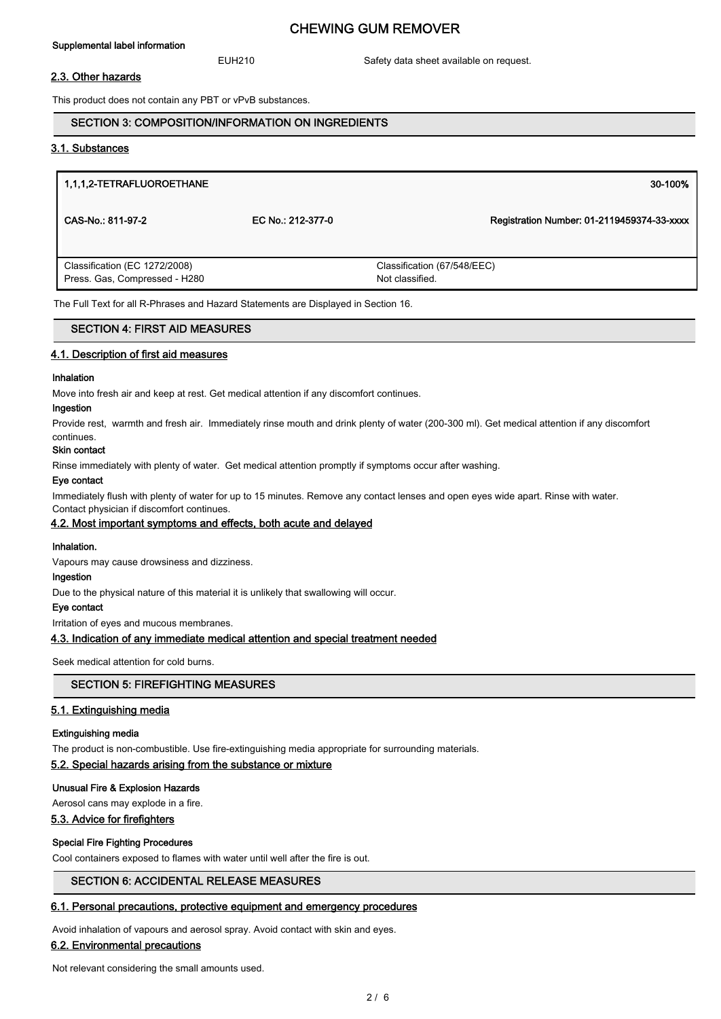#### Supplemental label information

### CHEWING GUM REMOVER

EUH210 Safety data sheet available on request.

#### 2.3. Other hazards

This product does not contain any PBT or vPvB substances.

#### SECTION 3: COMPOSITION/INFORMATION ON INGREDIENTS

### 3.1. Substances

| 1,1,1,2-TETRAFLUOROETHANE                                                          |                   | 30-100%                                        |
|------------------------------------------------------------------------------------|-------------------|------------------------------------------------|
| CAS-No.: 811-97-2                                                                  | EC No.: 212-377-0 | Registration Number: 01-2119459374-33-xxxx     |
| Classification (EC 1272/2008)<br>Press. Gas, Compressed - H280                     |                   | Classification (67/548/EEC)<br>Not classified. |
| The Full Text for all R-Phrases and Hazard Statements are Displayed in Section 16. |                   |                                                |

### SECTION 4: FIRST AID MEASURES

#### 4.1. Description of first aid measures

#### Inhalation

Move into fresh air and keep at rest. Get medical attention if any discomfort continues.

#### Ingestion

Provide rest, warmth and fresh air. Immediately rinse mouth and drink plenty of water (200-300 ml). Get medical attention if any discomfort continues.

#### Skin contact

Rinse immediately with plenty of water. Get medical attention promptly if symptoms occur after washing.

#### Eye contact

Immediately flush with plenty of water for up to 15 minutes. Remove any contact lenses and open eyes wide apart. Rinse with water.

#### Contact physician if discomfort continues. 4.2. Most important symptoms and effects, both acute and delayed

#### Inhalation.

Vapours may cause drowsiness and dizziness.

#### Ingestion

Due to the physical nature of this material it is unlikely that swallowing will occur.

#### Eye contact

Irritation of eyes and mucous membranes.

### 4.3. Indication of any immediate medical attention and special treatment needed

Seek medical attention for cold burns.

### SECTION 5: FIREFIGHTING MEASURES

#### 5.1. Extinguishing media

#### Extinguishing media

The product is non-combustible. Use fire-extinguishing media appropriate for surrounding materials.

#### 5.2. Special hazards arising from the substance or mixture

#### Unusual Fire & Explosion Hazards

Aerosol cans may explode in a fire.

### 5.3. Advice for firefighters

### Special Fire Fighting Procedures

Cool containers exposed to flames with water until well after the fire is out.

### SECTION 6: ACCIDENTAL RELEASE MEASURES

#### 6.1. Personal precautions, protective equipment and emergency procedures

Avoid inhalation of vapours and aerosol spray. Avoid contact with skin and eyes.

### 6.2. Environmental precautions

Not relevant considering the small amounts used.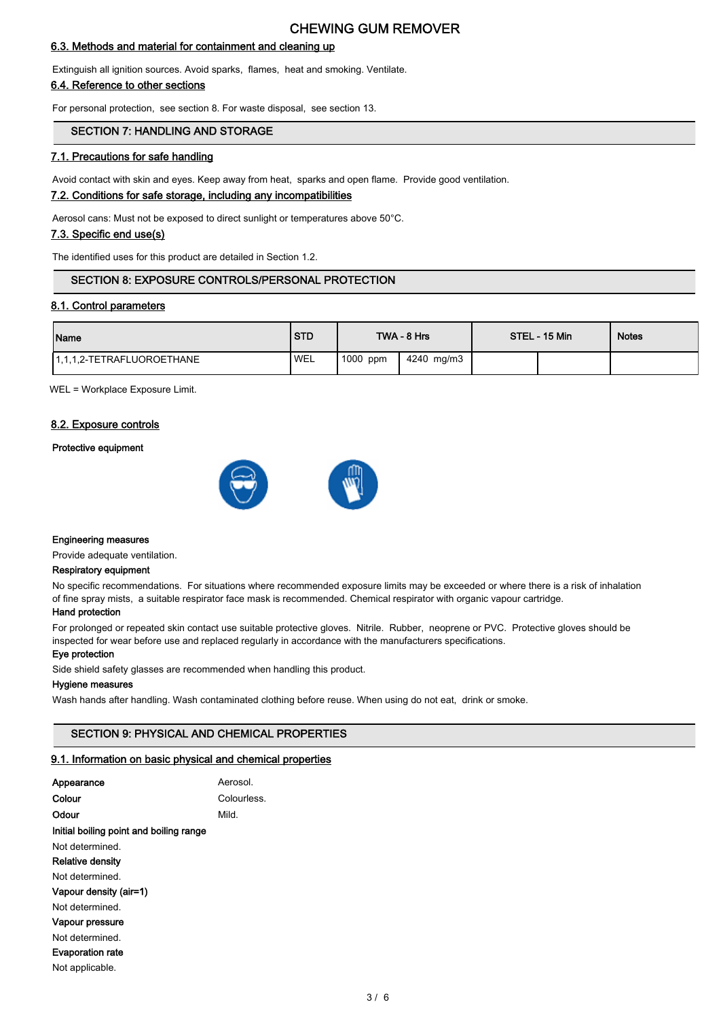### CHEWING GUM REMOVER

### 6.3. Methods and material for containment and cleaning up

Extinguish all ignition sources. Avoid sparks, flames, heat and smoking. Ventilate.

### 6.4. Reference to other sections

For personal protection, see section 8. For waste disposal, see section 13.

### SECTION 7: HANDLING AND STORAGE

### 7.1. Precautions for safe handling

Avoid contact with skin and eyes. Keep away from heat, sparks and open flame. Provide good ventilation.

### 7.2. Conditions for safe storage, including any incompatibilities

Aerosol cans: Must not be exposed to direct sunlight or temperatures above 50°C.

### 7.3. Specific end use(s)

The identified uses for this product are detailed in Section 1.2.

### SECTION 8: EXPOSURE CONTROLS/PERSONAL PROTECTION

### 8.1. Control parameters

| Name                       | <b>STD</b> |          | TWA - 8 Hrs | STEL - 15 Min | <b>Notes</b> |
|----------------------------|------------|----------|-------------|---------------|--------------|
| 11.1.1.2-TETRAFLUOROETHANE | 'WEL       | 1000 ppm | 4240 mg/m3  |               |              |

WEL = Workplace Exposure Limit.

#### 8.2. Exposure controls

#### Protective equipment





#### Engineering measures

Provide adequate ventilation.

#### Respiratory equipment

No specific recommendations. For situations where recommended exposure limits may be exceeded or where there is a risk of inhalation of fine spray mists, a suitable respirator face mask is recommended. Chemical respirator with organic vapour cartridge.

### Hand protection

For prolonged or repeated skin contact use suitable protective gloves. Nitrile. Rubber, neoprene or PVC. Protective gloves should be inspected for wear before use and replaced regularly in accordance with the manufacturers specifications.

#### Eye protection

Side shield safety glasses are recommended when handling this product.

#### Hygiene measures

Wash hands after handling. Wash contaminated clothing before reuse. When using do not eat, drink or smoke.

#### SECTION 9: PHYSICAL AND CHEMICAL PROPERTIES

#### 9.1. Information on basic physical and chemical properties

| Appearance                              | Aerosol.    |
|-----------------------------------------|-------------|
| Colour                                  | Colourless. |
| Odour                                   | Mild.       |
| Initial boiling point and boiling range |             |
| Not determined.                         |             |
| Relative density                        |             |
| Not determined.                         |             |
| Vapour density (air=1)                  |             |
| Not determined.                         |             |
| Vapour pressure                         |             |
| Not determined.                         |             |
| <b>Evaporation rate</b>                 |             |
| Not applicable.                         |             |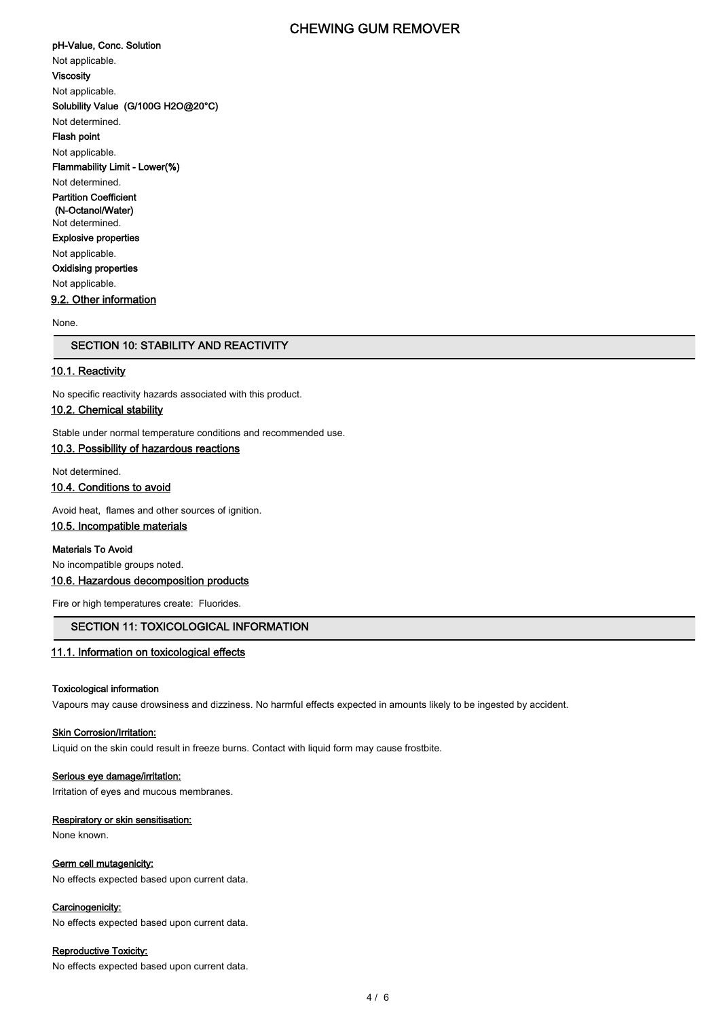### CHEWING GUM REMOVER

pH-Value, Conc. Solution Not applicable. Viscosity Not applicable. Solubility Value (G/100G H2O@20°C) Not determined. Flash point Not applicable. Flammability Limit - Lower(%) Not determined. Partition Coefficient (N-Octanol/Water) Not determined. Explosive properties Not applicable. Oxidising properties Not applicable. 9.2. Other information

None.

### SECTION 10: STABILITY AND REACTIVITY

### 10.1. Reactivity

No specific reactivity hazards associated with this product.

### 10.2. Chemical stability

Stable under normal temperature conditions and recommended use.

### 10.3. Possibility of hazardous reactions

Not determined.

10.4. Conditions to avoid

Avoid heat, flames and other sources of ignition.

### 10.5. Incompatible materials

Materials To Avoid

No incompatible groups noted.

### 10.6. Hazardous decomposition products

Fire or high temperatures create: Fluorides.

### SECTION 11: TOXICOLOGICAL INFORMATION

#### 11.1. Information on toxicological effects

#### Toxicological information

Vapours may cause drowsiness and dizziness. No harmful effects expected in amounts likely to be ingested by accident.

#### **Skin Corrosion/Irritation:**

Liquid on the skin could result in freeze burns. Contact with liquid form may cause frostbite.

#### Serious eye damage/irritation:

Irritation of eyes and mucous membranes.

### Respiratory or skin sensitisation:

None known.

#### Germ cell mutagenicity:

No effects expected based upon current data.

### Carcinogenicity:

No effects expected based upon current data.

#### Reproductive Toxicity:

No effects expected based upon current data.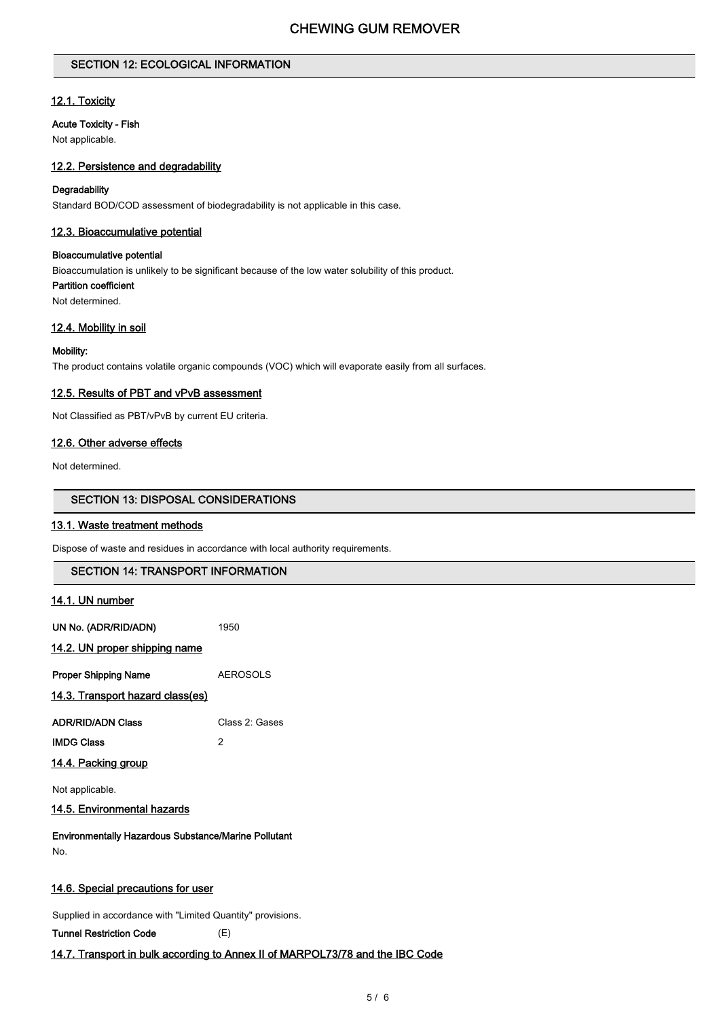### SECTION 12: ECOLOGICAL INFORMATION

### 12.1. Toxicity

### Acute Toxicity - Fish

Not applicable.

### 12.2. Persistence and degradability

#### **Degradability**

Standard BOD/COD assessment of biodegradability is not applicable in this case.

### 12.3. Bioaccumulative potential

### Bioaccumulative potential

Bioaccumulation is unlikely to be significant because of the low water solubility of this product.

Partition coefficient

Not determined.

### 12.4. Mobility in soil

#### Mobility:

The product contains volatile organic compounds (VOC) which will evaporate easily from all surfaces.

#### 12.5. Results of PBT and vPvB assessment

Not Classified as PBT/vPvB by current EU criteria.

### 12.6. Other adverse effects

Not determined.

#### SECTION 13: DISPOSAL CONSIDERATIONS

### 13.1. Waste treatment methods

Dispose of waste and residues in accordance with local authority requirements.

# SECTION 14: TRANSPORT INFORMATION 14.1. UN number UN No. (ADR/RID/ADN) 1950 14.2. UN proper shipping name Proper Shipping Name **AEROSOLS** 14.3. Transport hazard class(es) ADR/RID/ADN Class Class 2: Gases IMDG Class 2 14.4. Packing group Not applicable. 14.5. Environmental hazards Environmentally Hazardous Substance/Marine Pollutant No. 14.6. Special precautions for user Supplied in accordance with "Limited Quantity" provisions.

#### Tunnel Restriction Code (E)

### 14.7. Transport in bulk according to Annex II of MARPOL73/78 and the IBC Code